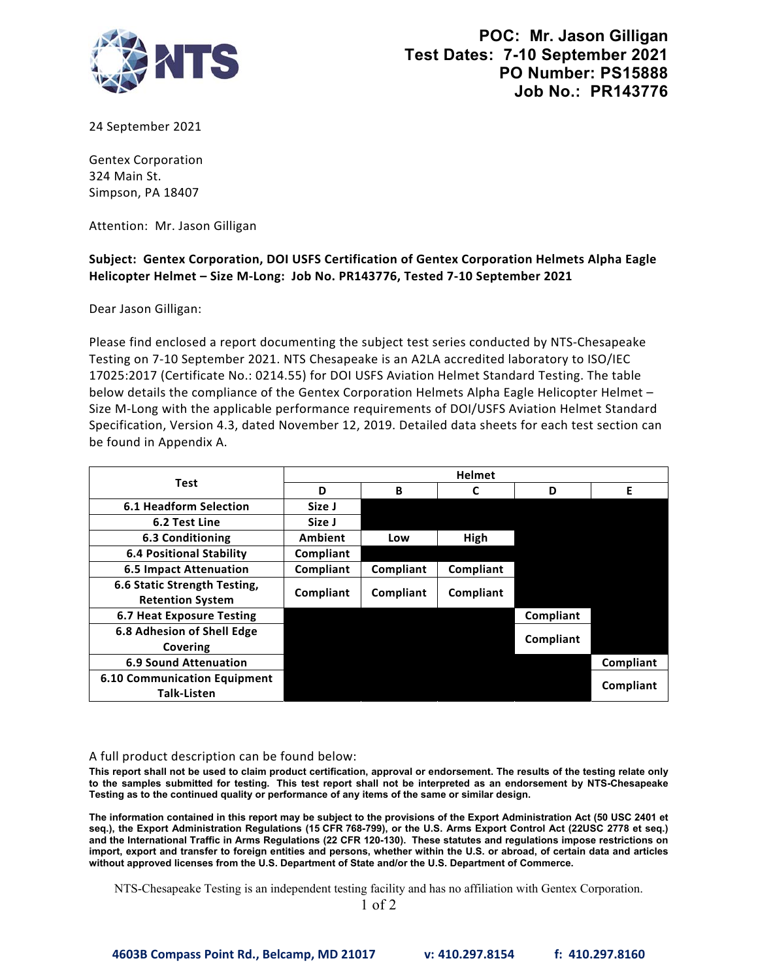

24 September 2021

Gentex Corporation 324 Main St. Simpson, PA 18407

Attention: Mr. Jason Gilligan

## **Subject: Gentex Corporation, DOI USFS Certification of Gentex Corporation Helmets Alpha Eagle Helicopter Helmet – Size M‐Long: Job No. PR143776, Tested 7‐10 September 2021**

Dear Jason Gilligan:

 Please find enclosed a report documenting the subject test series conducted by NTS‐Chesapeake Testing on 7‐10 September 2021. NTS Chesapeake is an A2LA accredited laboratory to ISO/IEC Specification, Version 4.3, dated November 12, 2019. Detailed data sheets for each test section can 17025:2017 (Certificate No.: 0214.55) for DOI USFS Aviation Helmet Standard Testing. The table below details the compliance of the Gentex Corporation Helmets Alpha Eagle Helicopter Helmet – Size M‐Long with the applicable performance requirements of DOI/USFS Aviation Helmet Standard be found in Appendix A.

| <b>Test</b>                                               | <b>Helmet</b>  |           |           |           |           |
|-----------------------------------------------------------|----------------|-----------|-----------|-----------|-----------|
|                                                           | D              | B         |           | D         | F         |
| <b>6.1 Headform Selection</b>                             | Size J         |           |           |           |           |
| 6.2 Test Line                                             | Size J         |           |           |           |           |
| 6.3 Conditioning                                          | <b>Ambient</b> | Low       | High      |           |           |
| <b>6.4 Positional Stability</b>                           | Compliant      |           |           |           |           |
| <b>6.5 Impact Attenuation</b>                             | Compliant      | Compliant | Compliant |           |           |
| 6.6 Static Strength Testing,<br><b>Retention System</b>   | Compliant      | Compliant | Compliant |           |           |
| 6.7 Heat Exposure Testing                                 |                |           |           | Compliant |           |
| 6.8 Adhesion of Shell Edge<br>Covering                    |                |           |           | Compliant |           |
| <b>6.9 Sound Attenuation</b>                              |                |           |           |           | Compliant |
| <b>6.10 Communication Equipment</b><br><b>Talk-Listen</b> |                |           |           |           | Compliant |

## A full product description can be found below:

 **This report shall not be used to claim product certification, approval or endorsement. The results of the testing relate only to the samples submitted for testing. This test report shall not be interpreted as an endorsement by NTS-Chesapeake Testing as to the continued quality or performance of any items of the same or similar design.**

 **The information contained in this report may be subject to the provisions of the Export Administration Act (50 USC 2401 et import, export and transfer to foreign entities and persons, whether within the U.S. or abroad, of certain data and articles seq.), the Export Administration Regulations (15 CFR 768-799), or the U.S. Arms Export Control Act (22USC 2778 et seq.) and the International Traffic in Arms Regulations (22 CFR 120-130). These statutes and regulations impose restrictions on without approved licenses from the U.S. Department of State and/or the U.S. Department of Commerce.**

NTS-Chesapeake Testing is an independent testing facility and has no affiliation with Gentex Corporation.

1 of 2